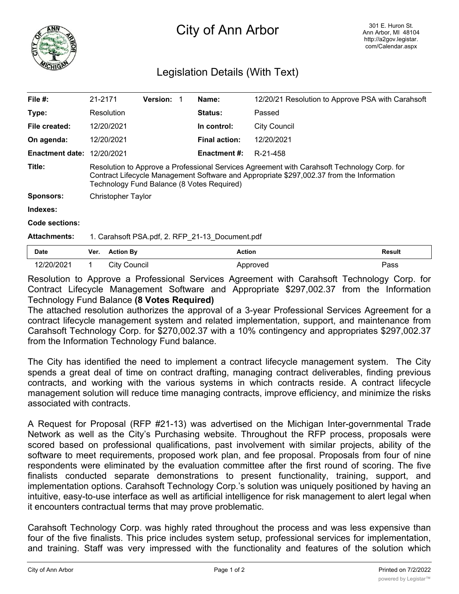

## City of Ann Arbor

## Legislation Details (With Text)

| File $#$ :             | 21-2171                                                                                                                                                                                                                               |                     | <b>Version:</b> |  | Name:                | 12/20/21 Resolution to Approve PSA with Carahsoft |        |
|------------------------|---------------------------------------------------------------------------------------------------------------------------------------------------------------------------------------------------------------------------------------|---------------------|-----------------|--|----------------------|---------------------------------------------------|--------|
| Type:                  |                                                                                                                                                                                                                                       | Resolution          |                 |  | <b>Status:</b>       | Passed                                            |        |
| File created:          |                                                                                                                                                                                                                                       | 12/20/2021          |                 |  | In control:          | <b>City Council</b>                               |        |
| On agenda:             |                                                                                                                                                                                                                                       | 12/20/2021          |                 |  | <b>Final action:</b> | 12/20/2021                                        |        |
| <b>Enactment date:</b> |                                                                                                                                                                                                                                       | 12/20/2021          |                 |  | <b>Enactment #:</b>  | R-21-458                                          |        |
| Title:                 | Resolution to Approve a Professional Services Agreement with Carahsoft Technology Corp. for<br>Contract Lifecycle Management Software and Appropriate \$297,002.37 from the Information<br>Technology Fund Balance (8 Votes Required) |                     |                 |  |                      |                                                   |        |
| <b>Sponsors:</b>       | <b>Christopher Taylor</b>                                                                                                                                                                                                             |                     |                 |  |                      |                                                   |        |
| Indexes:               |                                                                                                                                                                                                                                       |                     |                 |  |                      |                                                   |        |
| Code sections:         |                                                                                                                                                                                                                                       |                     |                 |  |                      |                                                   |        |
| <b>Attachments:</b>    | 1. Carahsoft PSA.pdf, 2. RFP_21-13_Document.pdf                                                                                                                                                                                       |                     |                 |  |                      |                                                   |        |
| <b>Date</b>            | Ver.                                                                                                                                                                                                                                  | <b>Action By</b>    |                 |  | <b>Action</b>        |                                                   | Result |
| 12/20/2021             |                                                                                                                                                                                                                                       | <b>City Council</b> |                 |  |                      | Approved                                          | Pass   |

Resolution to Approve a Professional Services Agreement with Carahsoft Technology Corp. for Contract Lifecycle Management Software and Appropriate \$297,002.37 from the Information Technology Fund Balance **(8 Votes Required)**

The attached resolution authorizes the approval of a 3-year Professional Services Agreement for a contract lifecycle management system and related implementation, support, and maintenance from Carahsoft Technology Corp. for \$270,002.37 with a 10% contingency and appropriates \$297,002.37 from the Information Technology Fund balance.

The City has identified the need to implement a contract lifecycle management system. The City spends a great deal of time on contract drafting, managing contract deliverables, finding previous contracts, and working with the various systems in which contracts reside. A contract lifecycle management solution will reduce time managing contracts, improve efficiency, and minimize the risks associated with contracts.

A Request for Proposal (RFP #21-13) was advertised on the Michigan Inter-governmental Trade Network as well as the City's Purchasing website. Throughout the RFP process, proposals were scored based on professional qualifications, past involvement with similar projects, ability of the software to meet requirements, proposed work plan, and fee proposal. Proposals from four of nine respondents were eliminated by the evaluation committee after the first round of scoring. The five finalists conducted separate demonstrations to present functionality, training, support, and implementation options. Carahsoft Technology Corp.'s solution was uniquely positioned by having an intuitive, easy-to-use interface as well as artificial intelligence for risk management to alert legal when it encounters contractual terms that may prove problematic.

Carahsoft Technology Corp. was highly rated throughout the process and was less expensive than four of the five finalists. This price includes system setup, professional services for implementation, and training. Staff was very impressed with the functionality and features of the solution which